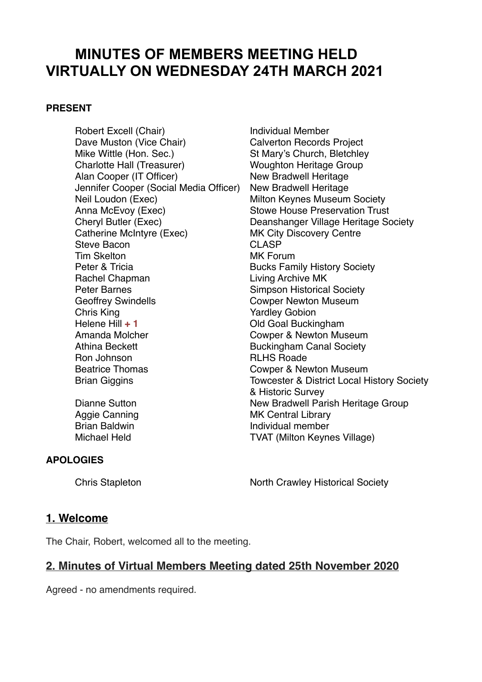# **MINUTES OF MEMBERS MEETING HELD VIRTUALLY ON WEDNESDAY 24TH MARCH 2021**

#### **PRESENT**

Robert Excell (Chair) **Individual Member** Dave Muston (Vice Chair) Calverton Records Project Mike Wittle (Hon. Sec.)<br>
Charlotte Hall (Treasurer) 
St Mary's Church, Bletchley<br>
Woughton Heritage Group Alan Cooper (IT Officer) New Bradwell Heritage Jennifer Cooper (Social Media Officer) New Bradwell Heritage Neil Loudon (Exec) Milton Keynes Museum Society<br>Anna McEvoy (Exec) Stowe House Preservation Trust Catherine McIntyre (Exec) MK City Discovery Centre<br>Steve Bacon CLASP Steve Bacon Tim Skelton MK Forum Peter & Tricia **Bucks Family History Society** Rachel Chapman Living Archive MK Peter Barnes **Simpson Historical Society** Geoffrey Swindells **Cowper Newton Museum** Chris King **Yardley Gobion** Helene Hill **+ 1** Old Goal Buckingham Amanda Molcher **Cowper & Newton Museum** Athina Beckett **Buckingham Canal Society** Ron Johnson **RLHS** Roade Beatrice Thomas Cowper & Newton Museum

**Woughton Heritage Group Stowe House Preservation Trust** Cheryl Butler (Exec) Deanshanger Village Heritage Society Brian Giggins Towcester & District Local History Society & Historic Survey Dianne Sutton New Bradwell Parish Heritage Group Aggie Canning MK Central Library Brian Baldwin **Individual member** Michael Held TVAT (Milton Keynes Village)

#### **APOLOGIES**

Chris Stapleton North Crawley Historical Society

#### **1. Welcome**

The Chair, Robert, welcomed all to the meeting.

## **2. Minutes of Virtual Members Meeting dated 25th November 2020**

Agreed - no amendments required.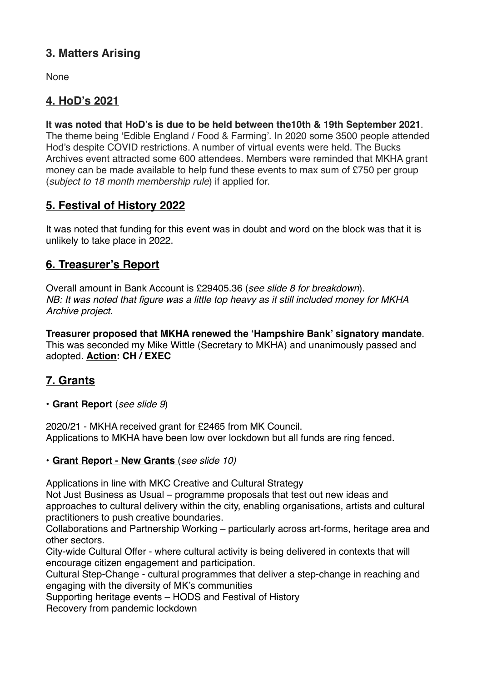# **3. Matters Arising**

None

# **4. HoD's 2021**

**It was noted that HoD's is due to be held between the10th & 19th September 2021**. The theme being 'Edible England / Food & Farming'. In 2020 some 3500 people attended Hod's despite COVID restrictions. A number of virtual events were held. The Bucks Archives event attracted some 600 attendees. Members were reminded that MKHA grant money can be made available to help fund these events to max sum of £750 per group (*subject to 18 month membership rule*) if applied for.

# **5. Festival of History 2022**

It was noted that funding for this event was in doubt and word on the block was that it is unlikely to take place in 2022.

# **6. Treasurer's Report**

Overall amount in Bank Account is £29405.36 (*see slide 8 for breakdown*). *NB: It was noted that figure was a little top heavy as it still included money for MKHA Archive project.* 

**Treasurer proposed that MKHA renewed the 'Hampshire Bank' signatory mandate**. This was seconded my Mike Wittle (Secretary to MKHA) and unanimously passed and adopted. **Action: CH / EXEC**

# **7. Grants**

**• Grant Report** (*see slide 9*)

2020/21 - MKHA received grant for £2465 from MK Council. Applications to MKHA have been low over lockdown but all funds are ring fenced.

#### • **Grant Report - New Grants** (*see slide 10)*

Applications in line with MKC Creative and Cultural Strategy

Not Just Business as Usual – programme proposals that test out new ideas and approaches to cultural delivery within the city, enabling organisations, artists and cultural practitioners to push creative boundaries.

Collaborations and Partnership Working – particularly across art-forms, heritage area and other sectors.

City-wide Cultural Offer - where cultural activity is being delivered in contexts that will encourage citizen engagement and participation.

Cultural Step-Change - cultural programmes that deliver a step-change in reaching and engaging with the diversity of MK's communities

Supporting heritage events – HODS and Festival of History

Recovery from pandemic lockdown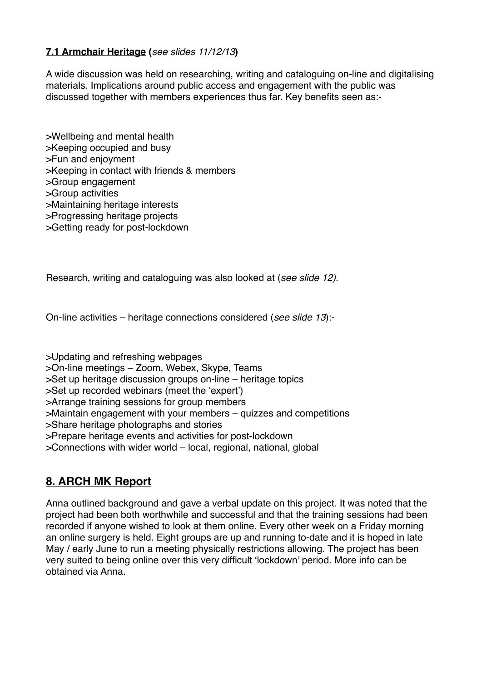#### **7.1 Armchair Heritage (***see slides 11/12/13***)**

A wide discussion was held on researching, writing and cataloguing on-line and digitalising materials. Implications around public access and engagement with the public was discussed together with members experiences thus far. Key benefits seen as:-

>Wellbeing and mental health >Keeping occupied and busy >Fun and enjoyment >Keeping in contact with friends & members >Group engagement >Group activities >Maintaining heritage interests >Progressing heritage projects >Getting ready for post-lockdown

Research, writing and cataloguing was also looked at (*see slide 12)*.

On-line activities – heritage connections considered (*see slide 13*):-

>Updating and refreshing webpages >On-line meetings – Zoom, Webex, Skype, Teams >Set up heritage discussion groups on-line – heritage topics >Set up recorded webinars (meet the 'expert') >Arrange training sessions for group members >Maintain engagement with your members – quizzes and competitions >Share heritage photographs and stories >Prepare heritage events and activities for post-lockdown >Connections with wider world – local, regional, national, global

# **8. ARCH MK Report**

Anna outlined background and gave a verbal update on this project. It was noted that the project had been both worthwhile and successful and that the training sessions had been recorded if anyone wished to look at them online. Every other week on a Friday morning an online surgery is held. Eight groups are up and running to-date and it is hoped in late May / early June to run a meeting physically restrictions allowing. The project has been very suited to being online over this very difficult 'lockdown' period. More info can be obtained via Anna.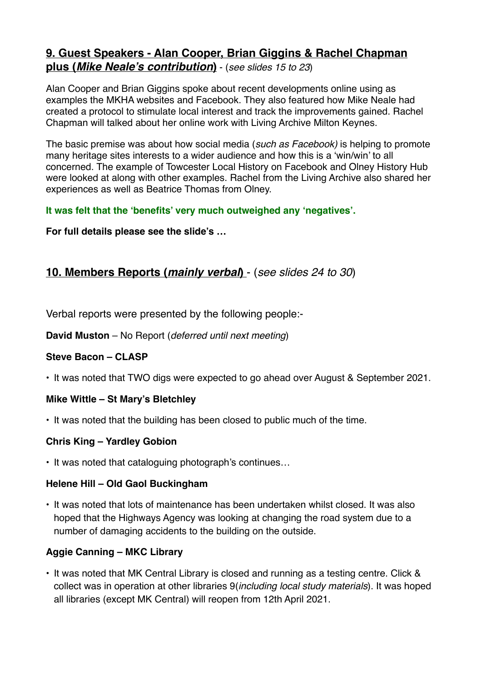# **9. Guest Speakers - Alan Cooper, Brian Giggins & Rachel Chapman plus (***Mike Neale's contribution***)** - (*see slides 15 to 23*)

Alan Cooper and Brian Giggins spoke about recent developments online using as examples the MKHA websites and Facebook. They also featured how Mike Neale had created a protocol to stimulate local interest and track the improvements gained. Rachel Chapman will talked about her online work with Living Archive Milton Keynes.

The basic premise was about how social media (*such as Facebook)* is helping to promote many heritage sites interests to a wider audience and how this is a 'win/win' to all concerned. The example of Towcester Local History on Facebook and Olney History Hub were looked at along with other examples. Rachel from the Living Archive also shared her experiences as well as Beatrice Thomas from Olney.

### **It was felt that the 'benefits' very much outweighed any 'negatives'.**

**For full details please see the slide's …**

# **10. Members Reports (***mainly verbal***)** - (*see slides 24 to 30*)

Verbal reports were presented by the following people:-

**David Muston** – No Report (*deferred until next meeting*)

## **Steve Bacon – CLASP**

• It was noted that TWO digs were expected to go ahead over August & September 2021.

#### **Mike Wittle – St Mary's Bletchley**

• It was noted that the building has been closed to public much of the time.

#### **Chris King – Yardley Gobion**

• It was noted that cataloguing photograph's continues…

#### **Helene Hill – Old Gaol Buckingham**

• It was noted that lots of maintenance has been undertaken whilst closed. It was also hoped that the Highways Agency was looking at changing the road system due to a number of damaging accidents to the building on the outside.

## **Aggie Canning – MKC Library**

• It was noted that MK Central Library is closed and running as a testing centre. Click & collect was in operation at other libraries 9(*including local study materials*). It was hoped all libraries (except MK Central) will reopen from 12th April 2021.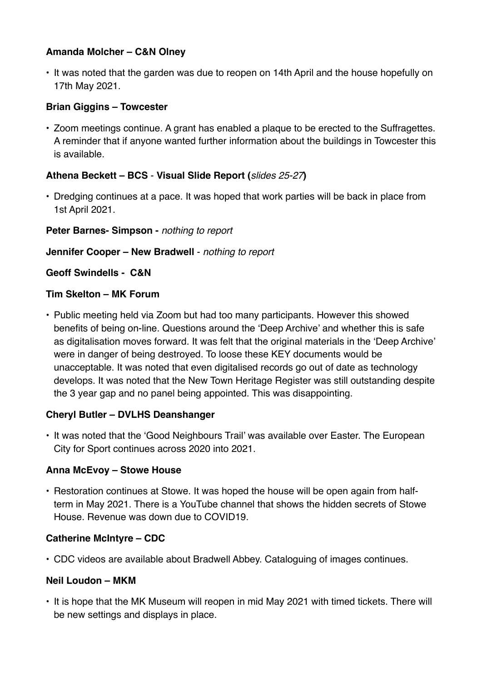#### **Amanda Molcher – C&N Olney**

• It was noted that the garden was due to reopen on 14th April and the house hopefully on 17th May 2021.

### **Brian Giggins – Towcester**

• Zoom meetings continue. A grant has enabled a plaque to be erected to the Suffragettes. A reminder that if anyone wanted further information about the buildings in Towcester this is available.

### **Athena Beckett – BCS** - **Visual Slide Report (***slides 25-27***)**

• Dredging continues at a pace. It was hoped that work parties will be back in place from 1st April 2021.

**Peter Barnes- Simpson -** *nothing to report* 

**Jennifer Cooper – New Bradwell** - *nothing to report*

**Geoff Swindells - C&N**

#### **Tim Skelton – MK Forum**

• Public meeting held via Zoom but had too many participants. However this showed benefits of being on-line. Questions around the 'Deep Archive' and whether this is safe as digitalisation moves forward. It was felt that the original materials in the 'Deep Archive' were in danger of being destroyed. To loose these KEY documents would be unacceptable. It was noted that even digitalised records go out of date as technology develops. It was noted that the New Town Heritage Register was still outstanding despite the 3 year gap and no panel being appointed. This was disappointing.

## **Cheryl Butler – DVLHS Deanshanger**

• It was noted that the 'Good Neighbours Trail' was available over Easter. The European City for Sport continues across 2020 into 2021.

## **Anna McEvoy – Stowe House**

• Restoration continues at Stowe. It was hoped the house will be open again from halfterm in May 2021. There is a YouTube channel that shows the hidden secrets of Stowe House. Revenue was down due to COVID19.

## **Catherine McIntyre – CDC**

• CDC videos are available about Bradwell Abbey. Cataloguing of images continues.

#### **Neil Loudon – MKM**

• It is hope that the MK Museum will reopen in mid May 2021 with timed tickets. There will be new settings and displays in place.